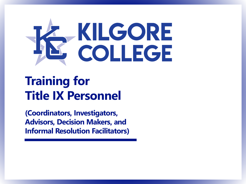

## **Training for Title IX Personnel**

**(Coordinators, Investigators, Advisors, Decision Makers, and Informal Resolution Facilitators)**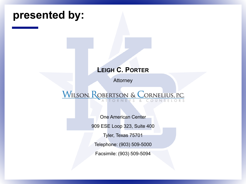## **presented by: LEIGH C. PORTER Attorney** WILSON, ROBERTSON & CORNELIUS, P.C. One American Center 909 ESE Loop 323, Suite 400 Tyler, Texas 75701 Telephone: (903) 509-5000

Facsimile: (903) 509-5094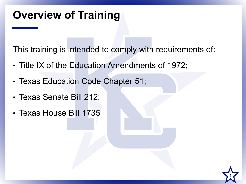## **Overview of Training**

This training is intended to comply with requirements of:

- Title IX of the Education Amendments of 1972;
- Texas Education Code Chapter 51;
- Texas Senate Bill 212;
- Texas House Bill 1735

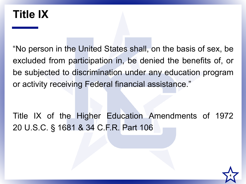#### **Title IX**

"No person in the United States shall, on the basis of sex, be excluded from participation in, be denied the benefits of, or be subjected to discrimination under any education program or activity receiving Federal financial assistance."

Title IX of the Higher Education Amendments of 1972 20 U.S.C. § 1681 & 34 C.F.R. Part 106

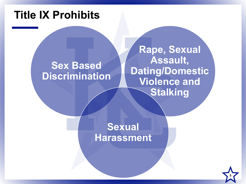#### **Title IX Prohibits**

#### **Sex Based Discrimination**

**Rape, Sexual Assault, Dating/Domestic Violence and Stalking**

**Sexual Harassment**

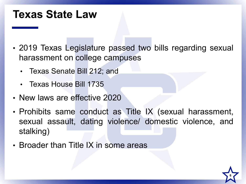#### **Texas State Law**

- 2019 Texas Legislature passed two bills regarding sexual harassment on college campuses
	- Texas Senate Bill 212; and
	- Texas House Bill 1735
- New laws are effective 2020
- Prohibits same conduct as Title IX (sexual harassment, sexual assault, dating violence/ domestic violence, and stalking)
- Broader than Title IX in some areas

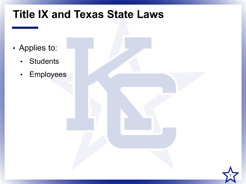## **Title IX and Texas State Laws**

- Applies to:
	- Students
	- Employees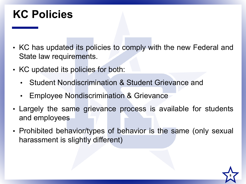#### **KC Policies**

- KC has updated its policies to comply with the new Federal and State law requirements.
- KC updated its policies for both:
	- Student Nondiscrimination & Student Grievance and
	- Employee Nondiscrimination & Grievance
- Largely the same grievance process is available for students and employees
- Prohibited behavior/types of behavior is the same (only sexual harassment is slightly different)

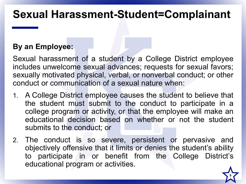#### **Sexual Harassment-Student=Complainant**

#### **By an Employee:**

Sexual harassment of a student by a College District employee includes unwelcome sexual advances; requests for sexual favors; sexually motivated physical, verbal, or nonverbal conduct; or other conduct or communication of a sexual nature when:

- 1. A College District employee causes the student to believe that the student must submit to the conduct to participate in a college program or activity, or that the employee will make an educational decision based on whether or not the student submits to the conduct; or
- 2. The conduct is so severe, persistent or pervasive and objectively offensive that it limits or denies the student's ability to participate in or benefit from the College District's educational program or activities.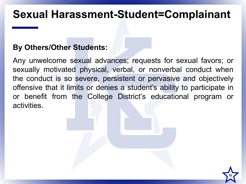#### **Sexual Harassment-Student=Complainant**

#### **By Others/Other Students:**

Any unwelcome sexual advances; requests for sexual favors; or sexually motivated physical, verbal, or nonverbal conduct when the conduct is so severe, persistent or pervasive and objectively offensive that it limits or denies a student's ability to participate in or benefit from the College District's educational program or activities.

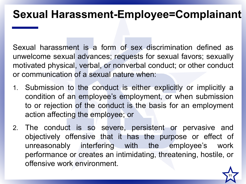#### **Sexual Harassment-Employee=Complainant**

Sexual harassment is a form of sex discrimination defined as unwelcome sexual advances; requests for sexual favors; sexually motivated physical, verbal, or nonverbal conduct; or other conduct or communication of a sexual nature when:

- 1. Submission to the conduct is either explicitly or implicitly a condition of an employee's employment, or when submission to or rejection of the conduct is the basis for an employment action affecting the employee; or
- 2. The conduct is so severe, persistent or pervasive and objectively offensive that it has the purpose or effect of unreasonably interfering with the employee's work performance or creates an intimidating, threatening, hostile, or offensive work environment.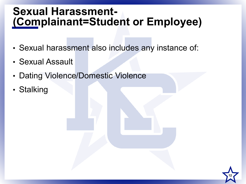# **Sexual Harassment- (Complainant=Student or Employee)**

• Sexual harassment also includes any instance of:

- Sexual Assault
- Dating Violence/Domestic Violence
- Stalking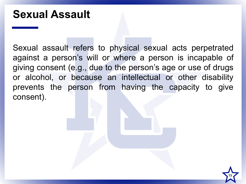#### **Sexual Assault**

Sexual assault refers to physical sexual acts perpetrated against a person's will or where a person is incapable of giving consent (e.g., due to the person's age or use of drugs or alcohol, or because an intellectual or other disability prevents the person from having the capacity to give consent).

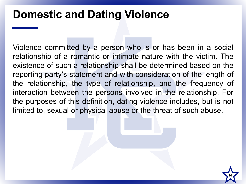#### **Domestic and Dating Violence**

Violence committed by a person who is or has been in a social relationship of a romantic or intimate nature with the victim. The existence of such a relationship shall be determined based on the reporting party's statement and with consideration of the length of the relationship, the type of relationship, and the frequency of interaction between the persons involved in the relationship. For the purposes of this definition, dating violence includes, but is not limited to, sexual or physical abuse or the threat of such abuse.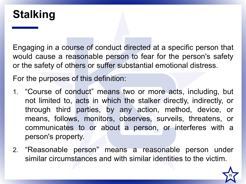#### **Stalking**

Engaging in a course of conduct directed at a specific person that would cause a reasonable person to fear for the person's safety or the safety of others or suffer substantial emotional distress.

For the purposes of this definition:

- 1. "Course of conduct" means two or more acts, including, but not limited to, acts in which the stalker directly, indirectly, or through third parties, by any action, method, device, or means, follows, monitors, observes, surveils, threatens, or communicates to or about a person, or interferes with a person's property.
- 2. "Reasonable person" means a reasonable person under similar circumstances and with similar identities to the victim.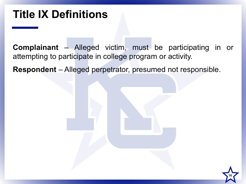#### **Title IX Definitions**

**Complainant** – Alleged victim, must be participating in or attempting to participate in college program or activity.

**Respondent** – Alleged perpetrator, presumed not responsible.

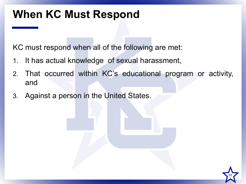#### **When KC Must Respond**

KC must respond when all of the following are met:

- 1. It has actual knowledge of sexual harassment,
- 2. That occurred within KC's educational program or activity, and
- 3. Against a person in the United States.

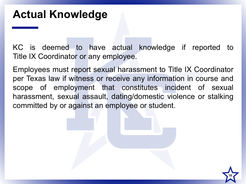#### **Actual Knowledge**

KC is deemed to have actual knowledge if reported to Title IX Coordinator or any employee.

Employees must report sexual harassment to Title IX Coordinator per Texas law if witness or receive any information in course and scope of employment that constitutes incident of sexual harassment, sexual assault, dating/domestic violence or stalking committed by or against an employee or student.

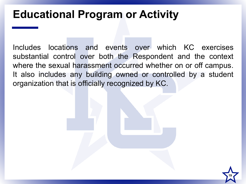#### **Educational Program or Activity**

Includes locations and events over which KC exercises substantial control over both the Respondent and the context where the sexual harassment occurred whether on or off campus. It also includes any building owned or controlled by a student organization that is officially recognized by KC.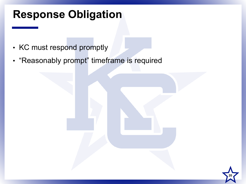#### **Response Obligation**

- KC must respond promptly
- "Reasonably prompt" timeframe is required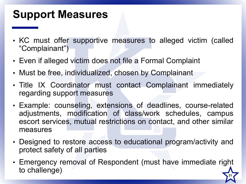#### **Support Measures**

- KC must offer supportive measures to alleged victim (called "Complainant")
- Even if alleged victim does not file a Formal Complaint
- Must be free, individualized, chosen by Complainant
- Title IX Coordinator must contact Complainant immediately regarding support measures
- Example: counseling, extensions of deadlines, course-related adjustments, modification of class/work schedules, campus escort services, mutual restrictions on contact, and other similar measures
- Designed to restore access to educational program/activity and protect safety of all parties
- Emergency removal of Respondent (must have immediate right to challenge) **21**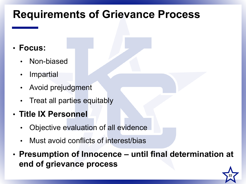#### **Requirements of Grievance Process**

- **Focus:**
	- Non-biased
	- **Impartial**
	- Avoid prejudgment
	- Treat all parties equitably
- **Title IX Personnel**
	- Objective evaluation of all evidence
	- Must avoid conflicts of interest/bias
- **Presumption of Innocence – until final determination at end of grievance process**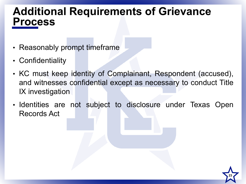#### **Additional Requirements of Grievance Process**

- Reasonably prompt timeframe
- Confidentiality
- KC must keep identity of Complainant, Respondent (accused), and witnesses confidential except as necessary to conduct Title IX investigation
- Identities are not subject to disclosure under Texas Open Records Act

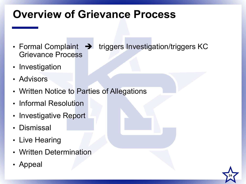## **Overview of Grievance Process**

- Formal Complaint  $\rightarrow$  triggers Investigation/triggers KC Grievance Process
- Investigation
- Advisors
- Written Notice to Parties of Allegations
- Informal Resolution
- Investigative Report
- Dismissal
- Live Hearing
- Written Determination
- Appeal

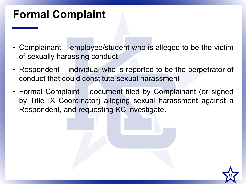## **Formal Complaint**

- Complainant employee/student who is alleged to be the victim of sexually harassing conduct
- Respondent individual who is reported to be the perpetrator of conduct that could constitute sexual harassment
- Formal Complaint document filed by Complainant (or signed by Title IX Coordinator) alleging sexual harassment against a Respondent, and requesting KC investigate.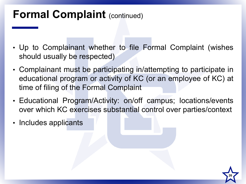## **Formal Complaint** (continued)

- Up to Complainant whether to file Formal Complaint (wishes should usually be respected)
- Complainant must be participating in/attempting to participate in educational program or activity of KC (or an employee of KC) at time of filing of the Formal Complaint
- Educational Program/Activity: on/off campus; locations/events over which KC exercises substantial control over parties/context
- Includes applicants

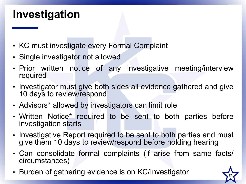#### **Investigation**

- KC must investigate every Formal Complaint
- Single investigator not allowed
- Prior written notice of any investigative meeting/interview required
- Investigator must give both sides all evidence gathered and give 10 days to review/respond
- Advisors\* allowed by investigators can limit role
- Written Notice\* required to be sent to both parties before investigation starts
- Investigative Report required to be sent to both parties and must give them 10 days to review/respond before holding hearing
- Can consolidate formal complaints (if arise from same facts/ circumstances)
- Burden of gathering evidence is on KC/Investigator **<sup>27</sup>**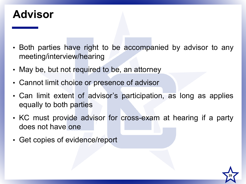#### **Advisor**

- Both parties have right to be accompanied by advisor to any meeting/interview/hearing
- May be, but not required to be, an attorney
- Cannot limit choice or presence of advisor
- Can limit extent of advisor's participation, as long as applies equally to both parties
- KC must provide advisor for cross-exam at hearing if a party does not have one
- Get copies of evidence/report

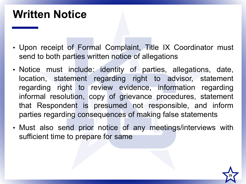#### **Written Notice**

- Upon receipt of Formal Complaint, Title IX Coordinator must send to both parties written notice of allegations
- Notice must include: identity of parties, allegations, date, location, statement regarding right to advisor, statement regarding right to review evidence, information regarding informal resolution, copy of grievance procedures, statement that Respondent is presumed not responsible, and inform parties regarding consequences of making false statements
- Must also send prior notice of any meetings/interviews with sufficient time to prepare for same

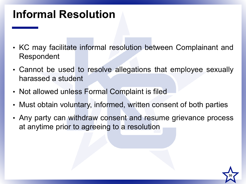## **Informal Resolution**

- KC may facilitate informal resolution between Complainant and Respondent
- Cannot be used to resolve allegations that employee sexually harassed a student
- Not allowed unless Formal Complaint is filed
- Must obtain voluntary, informed, written consent of both parties
- Any party can withdraw consent and resume grievance process at anytime prior to agreeing to a resolution

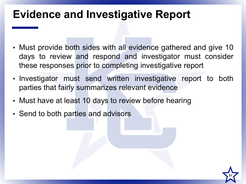#### **Evidence and Investigative Report**

- Must provide both sides with all evidence gathered and give 10 days to review and respond and investigator must consider these responses prior to completing investigative report
- Investigator must send written investigative report to both parties that fairly summarizes relevant evidence

- Must have at least 10 days to review before hearing
- Send to both parties and advisors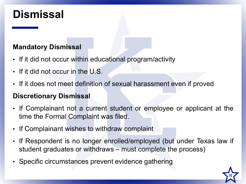#### **Dismissal**

#### **Mandatory Dismissal**

- If it did not occur within educational program/activity
- If it did not occur in the U.S.
- If it does not meet definition of sexual harassment even if proved

#### **Discretionary Dismissal**

- If Complainant not a current student or employee or applicant at the time the Formal Complaint was filed.
- If Complainant wishes to withdraw complaint
- If Respondent is no longer enrolled/employed (but under Texas law if student graduates or withdraws – must complete the process)
- Specific circumstances prevent evidence gathering

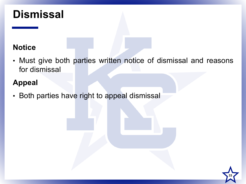#### **Dismissal**

#### **Notice**

• Must give both parties written notice of dismissal and reasons for dismissal

#### **Appeal**

• Both parties have right to appeal dismissal

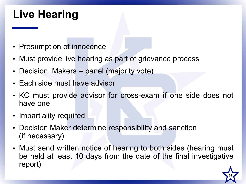## **Live Hearing**

- Presumption of innocence
- Must provide live hearing as part of grievance process
- Decision Makers = panel (majority vote)
- Each side must have advisor
- KC must provide advisor for cross-exam if one side does not have one
- Impartiality required
- Decision Maker determine responsibility and sanction (if necessary)
- Must send written notice of hearing to both sides (hearing must be held at least 10 days from the date of the final investigative report)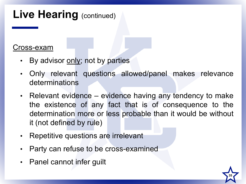## **Live Hearing** (continued)

#### Cross-exam

- By advisor only; not by parties
- Only relevant questions allowed/panel makes relevance determinations
- Relevant evidence evidence having any tendency to make the existence of any fact that is of consequence to the determination more or less probable than it would be without it (not defined by rule)
- Repetitive questions are irrelevant
- Party can refuse to be cross-examined
- Panel cannot infer guilt

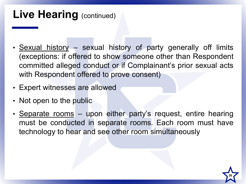#### **Live Hearing** (continued)

- Sexual history sexual history of party generally off limits (exceptions: if offered to show someone other than Respondent committed alleged conduct or if Complainant's prior sexual acts with Respondent offered to prove consent)
- Expert witnesses are allowed
- Not open to the public
- Separate rooms upon either party's request, entire hearing must be conducted in separate rooms. Each room must have technology to hear and see other room simultaneously

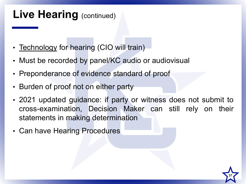#### **Live Hearing** (continued)

- Technology for hearing (CIO will train)
- Must be recorded by panel/KC audio or audiovisual
- Preponderance of evidence standard of proof
- Burden of proof not on either party
- 2021 updated guidance: if party or witness does not submit to cross-examination, Decision Maker can still rely on their statements in making determination
- Can have Hearing Procedures

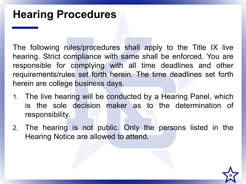The following rules/procedures shall apply to the Title IX live hearing. Strict compliance with same shall be enforced. You are responsible for complying with all time deadlines and other requirements/rules set forth herein. The time deadlines set forth herein are college business days.

- 1. The live hearing will be conducted by a Hearing Panel, which is the sole decision maker as to the determination of responsibility.
- 2. The hearing is not public. Only the persons listed in the Hearing Notice are allowed to attend.

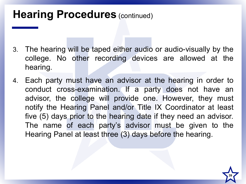#### **Hearing Procedures (continued)**

- 3. The hearing will be taped either audio or audio-visually by the college. No other recording devices are allowed at the hearing.
- 4. Each party must have an advisor at the hearing in order to conduct cross-examination. If a party does not have an advisor, the college will provide one. However, they must notify the Hearing Panel and/or Title IX Coordinator at least five (5) days prior to the hearing date if they need an advisor. The name of each party's advisor must be given to the Hearing Panel at least three (3) days before the hearing.

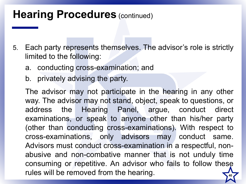#### **Hearing Procedures (continued)**

- 5. Each party represents themselves. The advisor's role is strictly limited to the following:
	- a. conducting cross-examination; and
	- b. privately advising the party.

The advisor may not participate in the hearing in any other way. The advisor may not stand, object, speak to questions, or address the Hearing Panel, argue, conduct direct examinations, or speak to anyone other than his/her party (other than conducting cross-examinations). With respect to cross-examinations, only advisors may conduct same. Advisors must conduct cross-examination in a respectful, nonabusive and non-combative manner that is not unduly time consuming or repetitive. An advisor who fails to follow these rules will be removed from the hearing.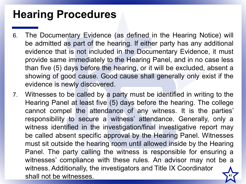- 6. The Documentary Evidence (as defined in the Hearing Notice) will be admitted as part of the hearing. If either party has any additional evidence that is not included in the Documentary Evidence, it must provide same immediately to the Hearing Panel, and in no case less than five (5) days before the hearing, or it will be excluded, absent a showing of good cause. Good cause shall generally only exist if the evidence is newly discovered.
- 7. Witnesses to be called by a party must be identified in writing to the Hearing Panel at least five (5) days before the hearing. The college cannot compel the attendance of any witness. It is the parties' responsibility to secure a witness' attendance. Generally, only a witness identified in the investigation/final investigative report may be called absent specific approval by the Hearing Panel. Witnesses must sit outside the hearing room until allowed inside by the Hearing Panel. The party calling the witness is responsible for ensuring a witnesses' compliance with these rules. An advisor may not be a witness. Additionally, the investigators and Title IX Coordinator shall not be witnesses.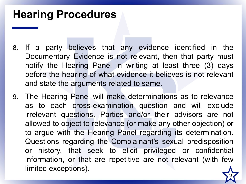- 8. If a party believes that any evidence identified in the Documentary Evidence is not relevant, then that party must notify the Hearing Panel in writing at least three (3) days before the hearing of what evidence it believes is not relevant and state the arguments related to same.
- 9. The Hearing Panel will make determinations as to relevance as to each cross-examination question and will exclude irrelevant questions. Parties and/or their advisors are not allowed to object to relevance (or make any other objection) or to argue with the Hearing Panel regarding its determination. Questions regarding the Complainant's sexual predisposition or history, that seek to elicit privileged or confidential information, or that are repetitive are not relevant (with few limited exceptions).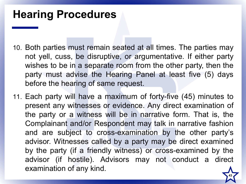- 10. Both parties must remain seated at all times. The parties may not yell, cuss, be disruptive, or argumentative. If either party wishes to be in a separate room from the other party, then the party must advise the Hearing Panel at least five (5) days before the hearing of same request.
- 11. Each party will have a maximum of forty-five (45) minutes to present any witnesses or evidence. Any direct examination of the party or a witness will be in narrative form. That is, the Complainant and/or Respondent may talk in narrative fashion and are subject to cross-examination by the other party's advisor. Witnesses called by a party may be direct examined by the party (if a friendly witness) or cross-examined by the advisor (if hostile). Advisors may not conduct a direct examination of any kind.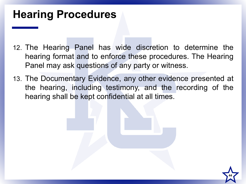- 12. The Hearing Panel has wide discretion to determine the hearing format and to enforce these procedures. The Hearing Panel may ask questions of any party or witness.
- 13. The Documentary Evidence, any other evidence presented at the hearing, including testimony, and the recording of the hearing shall be kept confidential at all times.

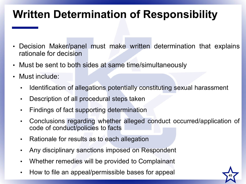## **Written Determination of Responsibility**

- Decision Maker/panel must make written determination that explains rationale for decision
- Must be sent to both sides at same time/simultaneously
- Must include:
	- Identification of allegations potentially constituting sexual harassment
	- Description of all procedural steps taken
	- Findings of fact supporting determination
	- Conclusions regarding whether alleged conduct occurred/application of code of conduct/policies to facts
	- Rationale for results as to each allegation
	- Any disciplinary sanctions imposed on Respondent
	- Whether remedies will be provided to Complainant
	- How to file an appeal/permissible bases for appeal **<sup>45</sup>**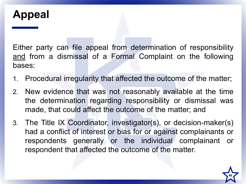#### **Appeal**

Either party can file appeal from determination of responsibility and from a dismissal of a Formal Complaint on the following bases:

- 1. Procedural irregularity that affected the outcome of the matter;
- 2. New evidence that was not reasonably available at the time the determination regarding responsibility or dismissal was made, that could affect the outcome of the matter; and
- 3. The Title IX Coordinator, investigator(s), or decision-maker(s) had a conflict of interest or bias for or against complainants or respondents generally or the individual complainant or respondent that affected the outcome of the matter.

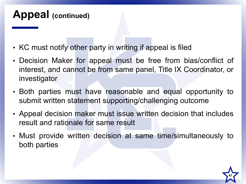#### **Appeal (continued)**

- KC must notify other party in writing if appeal is filed
- Decision Maker for appeal must be free from bias/conflict of interest, and cannot be from same panel, Title IX Coordinator, or investigator
- Both parties must have reasonable and equal opportunity to submit written statement supporting/challenging outcome
- Appeal decision maker must issue written decision that includes result and rationale for same result
- Must provide written decision at same time/simultaneously to both parties

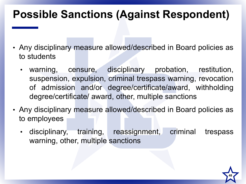## **Possible Sanctions (Against Respondent)**

- Any disciplinary measure allowed/described in Board policies as to students
	- warning, censure, disciplinary probation, restitution, suspension, expulsion, criminal trespass warning, revocation of admission and/or degree/certificate/award, withholding degree/certificate/ award, other, multiple sanctions
- Any disciplinary measure allowed/described in Board policies as to employees
	- disciplinary, training, reassignment, criminal trespass warning, other, multiple sanctions

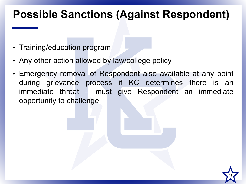#### **Possible Sanctions (Against Respondent)**

- Training/education program
- Any other action allowed by law/college policy
- Emergency removal of Respondent also available at any point during grievance process if KC determines there is an immediate threat – must give Respondent an immediate opportunity to challenge

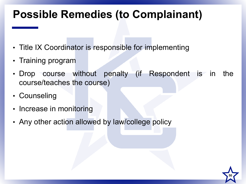#### **Possible Remedies (to Complainant)**

- Title IX Coordinator is responsible for implementing
- Training program
- Drop course without penalty (if Respondent is in the course/teaches the course)
- Counseling
- Increase in monitoring
- Any other action allowed by law/college policy

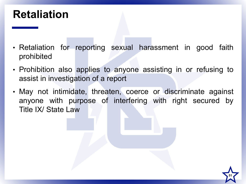#### **Retaliation**

- Retaliation for reporting sexual harassment in good faith prohibited
- Prohibition also applies to anyone assisting in or refusing to assist in investigation of a report
- May not intimidate, threaten, coerce or discriminate against anyone with purpose of interfering with right secured by Title IX/ State Law

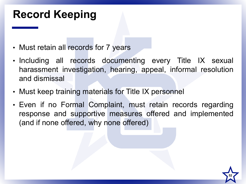## **Record Keeping**

- Must retain all records for 7 years
- Including all records documenting every Title IX sexual harassment investigation, hearing, appeal, informal resolution and dismissal
- Must keep training materials for Title IX personnel
- Even if no Formal Complaint, must retain records regarding response and supportive measures offered and implemented (and if none offered, why none offered)